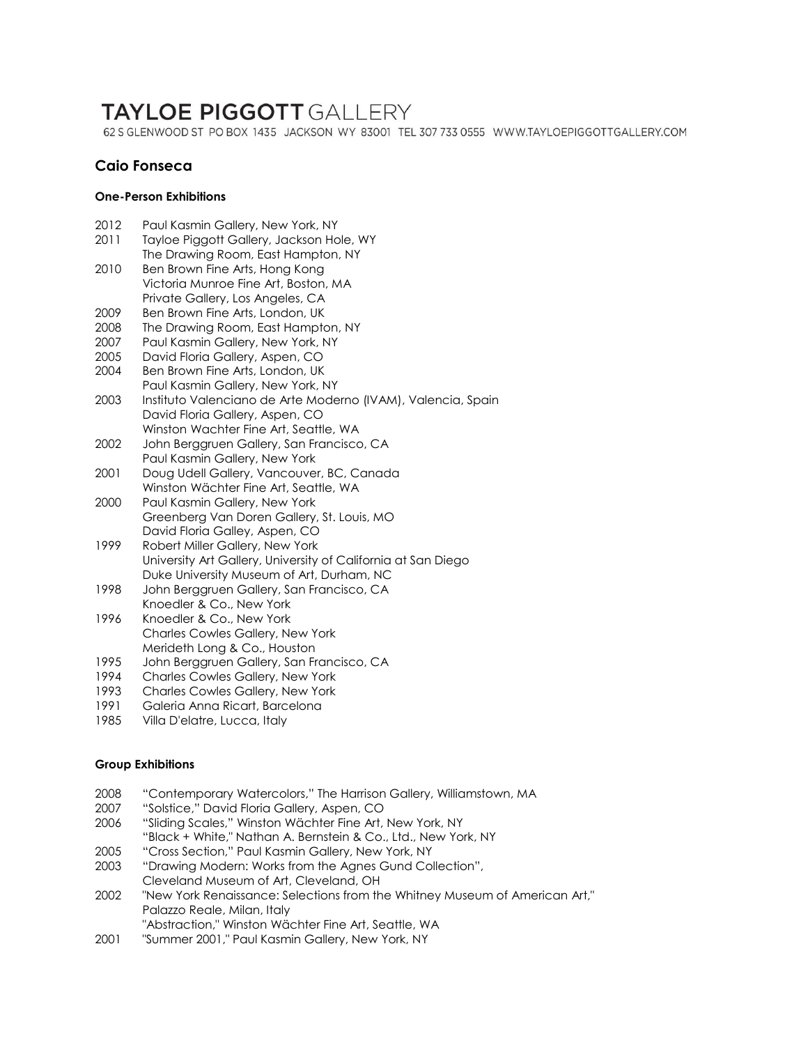# **TAYLOE PIGGOTT GALLERY**

62 S GLENWOOD ST PO BOX 1435 JACKSON WY 83001 TEL 307 733 0555 WWW.TAYLOEPIGGOTTGALLERY.COM

## **Caio Fonseca**

### **One-Person Exhibitions**

| 2012 | Paul Kasmin Gallery, New York, NY                             |
|------|---------------------------------------------------------------|
| 2011 | Tayloe Piggott Gallery, Jackson Hole, WY                      |
|      | The Drawing Room, East Hampton, NY                            |
| 2010 | Ben Brown Fine Arts, Hong Kong                                |
|      | Victoria Munroe Fine Art, Boston, MA                          |
|      | Private Gallery, Los Angeles, CA                              |
| 2009 | Ben Brown Fine Arts, London, UK                               |
| 2008 | The Drawing Room, East Hampton, NY                            |
| 2007 | Paul Kasmin Gallery, New York, NY                             |
| 2005 | David Floria Gallery, Aspen, CO                               |
| 2004 | Ben Brown Fine Arts, London, UK                               |
|      | Paul Kasmin Gallery, New York, NY                             |
| 2003 | Instituto Valenciano de Arte Moderno (IVAM), Valencia, Spain  |
|      | David Floria Gallery, Aspen, CO                               |
|      | Winston Wachter Fine Art, Seattle, WA                         |
| 2002 | John Berggruen Gallery, San Francisco, CA                     |
|      | Paul Kasmin Gallery, New York                                 |
| 2001 | Doug Udell Gallery, Vancouver, BC, Canada                     |
|      | Winston Wächter Fine Art, Seattle, WA                         |
| 2000 | Paul Kasmin Gallery, New York                                 |
|      | Greenberg Van Doren Gallery, St. Louis, MO                    |
|      | David Floria Galley, Aspen, CO                                |
| 1999 | Robert Miller Gallery, New York                               |
|      | University Art Gallery, University of California at San Diego |
|      | Duke University Museum of Art, Durham, NC                     |
| 1998 | John Berggruen Gallery, San Francisco, CA                     |
|      | Knoedler & Co., New York                                      |
| 1996 | Knoedler & Co., New York                                      |
|      | <b>Charles Cowles Gallery, New York</b>                       |
|      | Merideth Long & Co., Houston                                  |
| 1995 | John Berggruen Gallery, San Francisco, CA                     |

- 1994 Charles Cowles Gallery, New York
- 1993 Charles Cowles Gallery, New York<br>1991 Galeria Anna Ricart, Barcelona
- Galeria Anna Ricart, Barcelona
- 1985 Villa D'elatre, Lucca, Italy

#### **Group Exhibitions**

- 2008 "Contemporary Watercolors," The Harrison Gallery, Williamstown, MA
- 2007 "Solstice," David Floria Gallery, Aspen, CO
- 2006 "Sliding Scales," Winston Wächter Fine Art, New York, NY "Black + White," Nathan A. Bernstein & Co., Ltd., New York, NY
- 2005 "Cross Section," Paul Kasmin Gallery, New York, NY
- 2003 "Drawing Modern: Works from the Agnes Gund Collection", Cleveland Museum of Art, Cleveland, OH
- 2002 "New York Renaissance: Selections from the Whitney Museum of American Art," Palazzo Reale, Milan, Italy
- "Abstraction," Winston Wächter Fine Art, Seattle, WA
- 2001 "Summer 2001," Paul Kasmin Gallery, New York, NY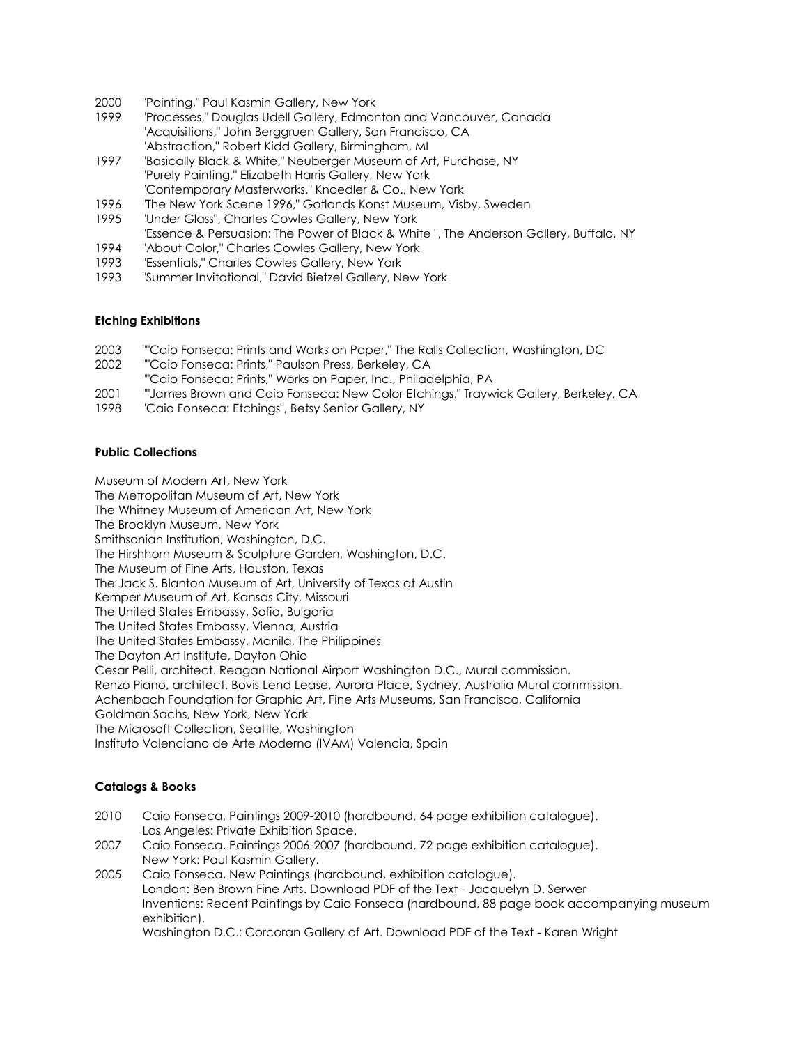- 2000 "Painting," Paul Kasmin Gallery, New York
- "Processes," Douglas Udell Gallery, Edmonton and Vancouver, Canada "Acquisitions," John Berggruen Gallery, San Francisco, CA "Abstraction," Robert Kidd Gallery, Birmingham, MI
- 1997 "Basically Black & White," Neuberger Museum of Art, Purchase, NY "Purely Painting," Elizabeth Harris Gallery, New York "Contemporary Masterworks," Knoedler & Co., New York
- 1996 "The New York Scene 1996," Gotlands Konst Museum, Visby, Sweden
- 1995 "Under Glass", Charles Cowles Gallery, New York

"Essence & Persuasion: The Power of Black & White ", The Anderson Gallery, Buffalo, NY

- 1994 "About Color," Charles Cowles Gallery, New York
- 1993 "Essentials," Charles Cowles Gallery, New York
- 1993 "Summer Invitational," David Bietzel Gallery, New York

#### **Etching Exhibitions**

- 2003 ""Caio Fonseca: Prints and Works on Paper," The Ralls Collection, Washington, DC
- 2002 ""Caio Fonseca: Prints," Paulson Press, Berkeley, CA
- ""Caio Fonseca: Prints," Works on Paper, Inc., Philadelphia, PA
- 2001 ""James Brown and Caio Fonseca: New Color Etchings," Traywick Gallery, Berkeley, CA
- 1998 "Caio Fonseca: Etchings", Betsy Senior Gallery, NY

#### **Public Collections**

Museum of Modern Art, New York

The Metropolitan Museum of Art, New York

The Whitney Museum of American Art, New York

The Brooklyn Museum, New York

Smithsonian Institution, Washington, D.C.

The Hirshhorn Museum & Sculpture Garden, Washington, D.C.

The Museum of Fine Arts, Houston, Texas

The Jack S. Blanton Museum of Art, University of Texas at Austin

Kemper Museum of Art, Kansas City, Missouri

The United States Embassy, Sofia, Bulgaria

The United States Embassy, Vienna, Austria

The United States Embassy, Manila, The Philippines

The Dayton Art Institute, Dayton Ohio

Cesar Pelli, architect. Reagan National Airport Washington D.C., Mural commission.

Renzo Piano, architect. Bovis Lend Lease, Aurora Place, Sydney, Australia Mural commission.

Achenbach Foundation for Graphic Art, Fine Arts Museums, San Francisco, California

Goldman Sachs, New York, New York

The Microsoft Collection, Seattle, Washington

Instituto Valenciano de Arte Moderno (IVAM) Valencia, Spain

#### **Catalogs & Books**

- 2010 Caio Fonseca, Paintings 2009-2010 (hardbound, 64 page exhibition catalogue). Los Angeles: Private Exhibition Space.
- 2007 Caio Fonseca, Paintings 2006-2007 (hardbound, 72 page exhibition catalogue). New York: Paul Kasmin Gallery.
- 2005 Caio Fonseca, New Paintings (hardbound, exhibition catalogue). London: Ben Brown Fine Arts. Download PDF of the Text - Jacquelyn D. Serwer Inventions: Recent Paintings by Caio Fonseca (hardbound, 88 page book accompanying museum exhibition).

Washington D.C.: Corcoran Gallery of Art. Download PDF of the Text - Karen Wright